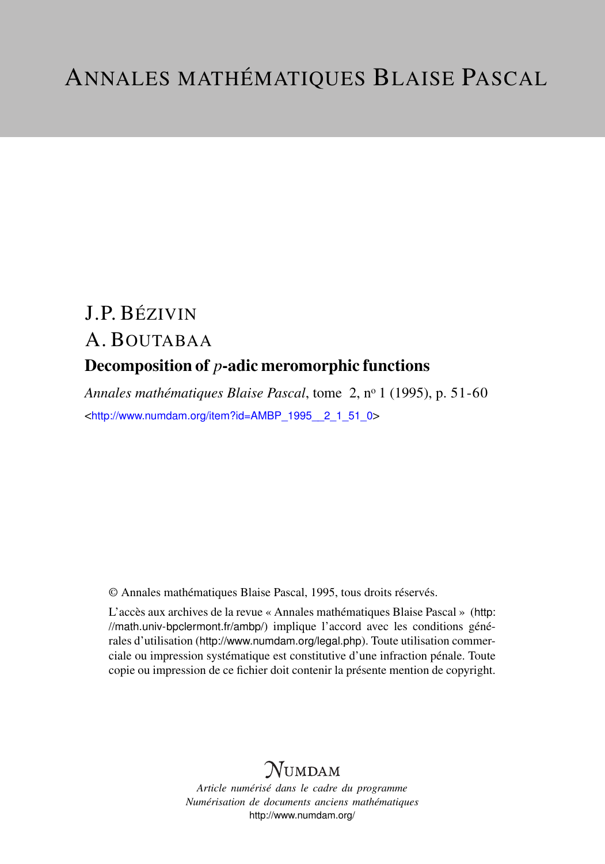# J.P. BÉZIVIN A. BOUTABAA Decomposition of *p*-adic meromorphic functions

*Annales mathématiques Blaise Pascal*, tome 2, n<sup>o</sup> 1 (1995), p. 51-60 <[http://www.numdam.org/item?id=AMBP\\_1995\\_\\_2\\_1\\_51\\_0](http://www.numdam.org/item?id=AMBP_1995__2_1_51_0)>

© Annales mathématiques Blaise Pascal, 1995, tous droits réservés.

L'accès aux archives de la revue « Annales mathématiques Blaise Pascal » ([http:](http://math.univ-bpclermont.fr/ambp/) [//math.univ-bpclermont.fr/ambp/](http://math.univ-bpclermont.fr/ambp/)) implique l'accord avec les conditions générales d'utilisation (<http://www.numdam.org/legal.php>). Toute utilisation commerciale ou impression systématique est constitutive d'une infraction pénale. Toute copie ou impression de ce fichier doit contenir la présente mention de copyright.

# **NUMDAM**

*Article numérisé dans le cadre du programme Numérisation de documents anciens mathématiques* <http://www.numdam.org/>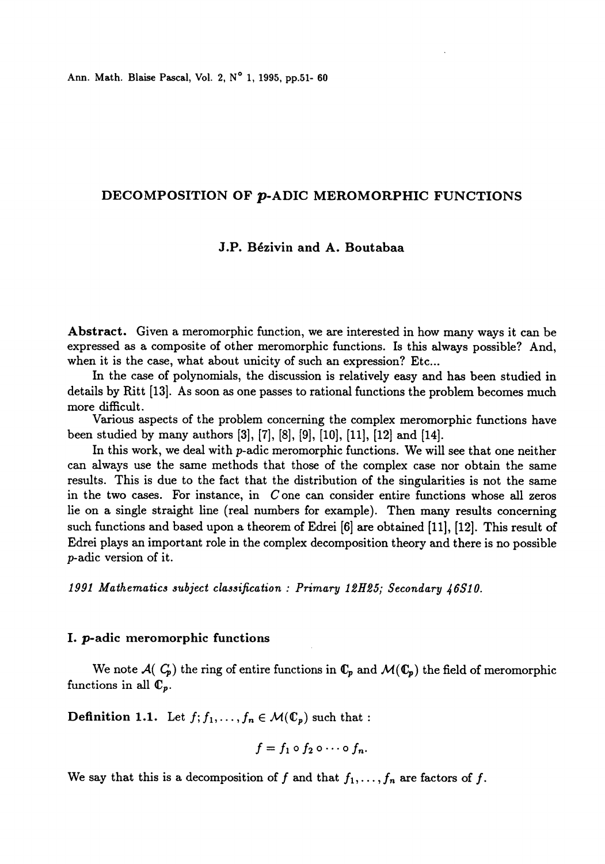Ann. Math. Blaise Pascal, Vol. 2, N° 1, 1995, pp.51- 60

# DECOMPOSITION OF p-ADIC MEROMORPHIC FUNCTIONS

# J.P. Bézivin and A. Boutabaa

Abstract. Given a meromorphic function, we are interested in how many ways it can be expressed as a composite of other meromorphic functions. Is this always possible? And, when it is the case, what about unicity of such an expression? Etc...

In the case of polynomials, the discussion is relatively easy and has been studied in details by Ritt [13]. As soon as one passes to rational functions the problem becomes much more difficult.

Various aspects of the problem concerning the complex meromorphic functions have been studied by many authors [3], [7], [8], [9], [10], [11], [12] and [14].

In this work, we deal with p-adic meromorphic functions. We will see that one neither can always use the same methods that those of the complex case nor obtain the same results. This is due to the fact that the distribution of the singularities is not the same in the two cases. For instance, in C one can consider entire functions whose all zeros lie on a single straight line (real numbers for example). Then many results concerning such functions and based upon a theorem of Edrei [6] are obtained (11J, [12]. This result of Edrei plays an important role in the complex decomposition theory and there is no possible p-adic version of it.

1991 Mathematics subject classification: : Primary 12H25; Secondary 46S10.

#### I. p-adic meromorphic functions

We note  $\mathcal{A}(\mathcal{C}_p)$  the ring of entire functions in  $\mathbb{C}_p$  and  $\mathcal{M}(\mathbb{C}_p)$  the field of meromorphic functions in all  $\mathbb{C}_p$ .

**Definition 1.1.** Let  $f_1, \ldots, f_n \in \mathcal{M}(\mathbb{C}_p)$  such that :

$$
f=f_1\circ f_2\circ\cdots\circ f_n.
$$

We say that this is a decomposition of f and that  $f_1, \ldots, f_n$  are factors of f.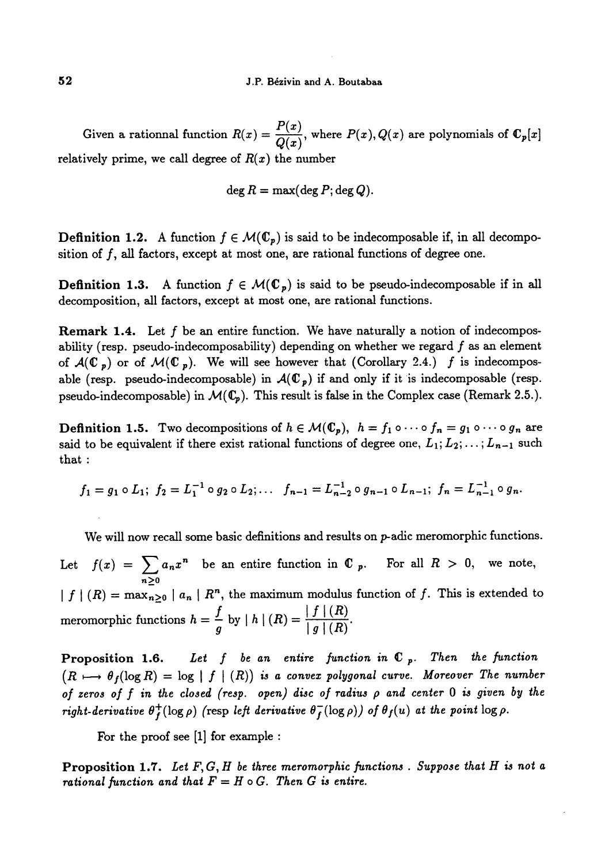Given a rationnal function  $R(x) = \frac{P(x)}{Q(x)}$ , where  $P(x), Q(x)$  are polynomials of  $\mathbb{C}_p[x]$ relatively prime, we call degree of  $R(x)$  the number

$$
\deg R = \max(\deg P;\deg Q).
$$

**Definition 1.2.** A function  $f \in \mathcal{M}(\mathbb{C}_p)$  is said to be indecomposable if, in all decomposition of  $f$ , all factors, except at most one, are rational functions of degree one.

**Definition 1.3.** A function  $f \in \mathcal{M}(\mathbb{C}_p)$  is said to be pseudo-indecomposable if in all decomposition, all factors, except at most one, are rational functions.

Remark 1.4. Let f be an entire function. We have naturally a notion of indecomposability (resp. pseudo-indecomposability) depending on whether we regard  $f$  as an element of  $\mathcal{A}(\mathbb{C}_p)$  or of  $\mathcal{M}(\mathbb{C}_p)$ . We will see however that (Corollary 2.4.) f is indecomposable (resp. pseudo-indecomposable) in  $\mathcal{A}(\mathbb{C}_p)$  if and only if it is indecomposable (resp. pseudo-indecomposable) in  $M({\mathbb{C}}_p)$ . This result is false in the Complex case (Remark 2.5.).

**Definition 1.5.** Two decompositions of  $h \in \mathcal{M}(\mathbb{C}_p)$ ,  $h = f_1 \circ \cdots \circ f_n = g_1 \circ \cdots \circ g_n$  are said to be equivalent if there exist rational functions of degree one,  $L_1; L_2; \ldots; L_{n-1}$  such that :

$$
f_1 = g_1 \circ L_1; \ f_2 = L_1^{-1} \circ g_2 \circ L_2; \ldots \quad f_{n-1} = L_{n-2}^{-1} \circ g_{n-1} \circ L_{n-1}; \ f_n = L_{n-1}^{-1} \circ g_n.
$$

We will now recall some basic definitions and results on p-adic meromorphic functions.

Let  $f(x) = \sum_{n\geq 0} a_n x^n$  be an entire function in  $\mathbb{C}$  p. For all  $R > 0$ , we note,  $|f|(R) = \max_{n\geq 0} |a_n| R^n$ , the maximum modulus function of f. This is extended to meromorphic functions  $h = \frac{f}{g}$  by  $|h | (R) = \frac{|f | (R)}{|g | (R)}$ .

**Proposition 1.6.** Let f be an entire function in  $\mathbb{C}_p$ . Then the function  $(R \mapsto \theta_f(\log R) = \log |f|(R)$  is a convex polygonal curve. Moreover The number of zeros of  $f$  in the closed (resp. open) disc of radius  $\rho$  and center  $0$  is given by the right-derivative  $\theta_f^+(\log \rho)$  (resp left derivative  $\theta_f^-(\log \rho)$ ) of  $\theta_f(u)$  at the point  $\log \rho$ .

For the proof see  $[1]$  for example :

**Proposition 1.7.** Let  $F, G, H$  be three meromorphic functions. Suppose that  $H$  is not a rational function and that  $F = H \circ G$ . Then G is entire.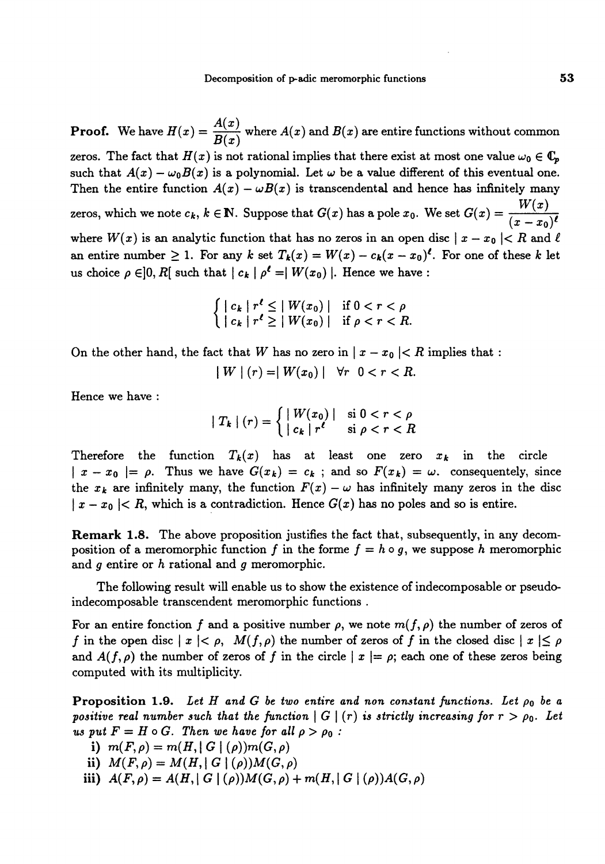**Proof.** We have  $H(x) = \frac{A(x)}{B(x)}$  where  $A(x)$  and  $B(x)$  are entire functions without common zeros. The fact that  $H(x)$  is not rational implies that there exist at most one value  $\omega_0 \in \mathbb{C}_p$ such that  $A(x) - \omega_0 B(x)$  is a polynomial. Let  $\omega$  be a value different of this eventual one. Then the entire function  $A(x) - \omega B(x)$  is transcendental and hence has infinitely many zeros, which we note  $c_k, k \in \mathbb{N}$ . Suppose that  $G(x)$  has a pole  $x_0$ . We set  $G(x) = \frac{W(x)}{(x - x_0)}$ where  $W(x)$  is an analytic function that has no zeros in an open disc  $|x - x_0| < R$  and  $\ell$ . an entire number  $\geq 1$ . For any k set  $T_k(x) = W(x) - c_k(x - x_0)^t$ . For one of these k let us choice  $\rho \in ]0, R[$  such that  $| c_k | \rho^{\ell} = | W(x_0) |$ . Hence we have :

$$
\left\{ \begin{array}{ll} \mid c_k \mid r^{\ell} \leq \mid W(x_0) \mid & \text{if } 0 < r < \rho \\ \mid c_k \mid r^{\ell} \geq \mid W(x_0) \mid & \text{if } \rho < r < R \end{array} \right.
$$

On the other hand, the fact that W has no zero in  $|x - x_0| < R$  implies that :

$$
|W|(r) = |W(x_0)| \quad \forall r \quad 0 < r < R.
$$

Hence we have :

$$
|T_k|(r) = \begin{cases} |W(x_0)| & \text{si } 0 < r < \rho \\ |c_k|r^{\ell} & \text{si } \rho < r < R \end{cases}
$$

Therefore the function  $T_k(x)$  has at least one zero  $x_k$  in the circle  $\vert x - x_0 \vert = \rho$ . Thus we have  $G(x_k) = c_k$ ; and so  $F(x_k) = \omega$ . consequentely, since the  $x_k$  are infinitely many, the function  $F(x) - \omega$  has infinitely many zeros in the disc  $|x - x_0| < R$ , which is a contradiction. Hence  $G(x)$  has no poles and so is entire.

Remark 1.8. The above proposition justifies the fact that, subsequently, in any decomposition of a meromorphic function f in the forme  $f = h \circ g$ , we suppose h meromorphic and  $g$  entire or  $h$  rational and  $g$  meromorphic.

The following result will enable us to show the existence of indecomposable or pseudoindecomposable transcendent meromorphic functions .

For an entire fonction f and a positive number  $\rho$ , we note  $m(f, \rho)$  the number of zeros of f in the open disc  $|x| < \rho$ ,  $M(f, \rho)$  the number of zeros of f in the closed disc  $|x| \le \rho$ and  $A(f, \rho)$  the number of zeros of f in the circle  $|x| = \rho$ ; each one of these zeros being computed with its multiplicity.

**Proposition 1.9.** Let H and G be two entire and non constant functions. Let  $\rho_0$  be a positive real number such that the function  $|G|(r)$  is strictly increasing for  $r > \rho_0$ . Let us put  $F = H \circ G$ . Then we have for all  $\rho > \rho_0$ :

- i)  $m(F, \rho) = m(H, |G|(\rho))m(G, \rho)$
- ii)  $M(F, \rho) = M(H, |G|(\rho))M(G, \rho)$
- iii)  $A(F, \rho) = A(H, |G|(\rho))M(G, \rho) + m(H, |G|(\rho))A(G, \rho)$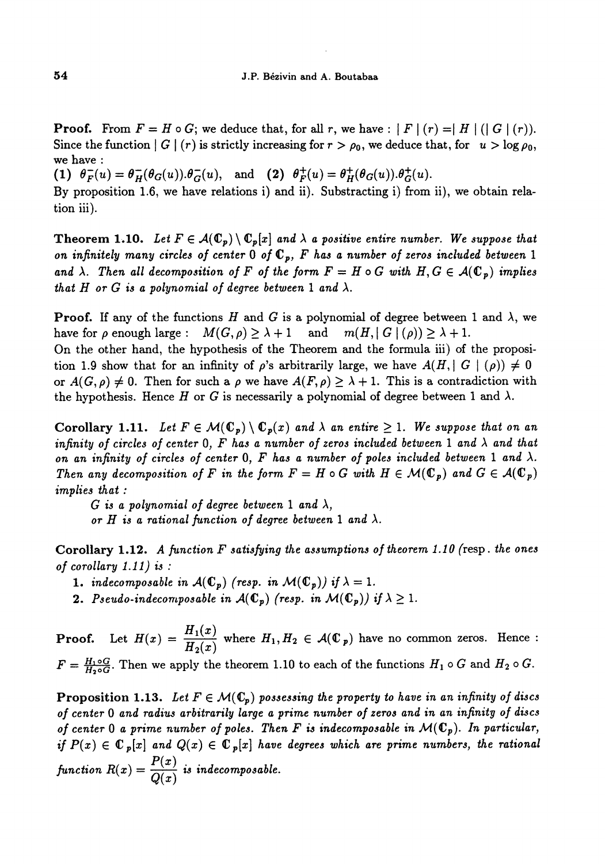**Proof.** From  $F = H \circ G$ ; we deduce that, for all r, we have :  $|F|(r) = |H|(|G|(r))$ . Since the function  $|G|(r)$  is strictly increasing for  $r > \rho_0$ , we deduce that, for  $u > \log \rho_0$ , we have :

(1)  $\theta_F^-(u) = \theta_H^-(\theta_G(u)) \cdot \theta_G^-(u)$ , and (2)  $\theta_F^+(u) = \theta_H^+(\theta_G(u)) \cdot \theta_G^+(u)$ .

By proposition 1.6, we have relations i) and ii). Substracting i) from ii), we obtain relation iii).

**Theorem 1.10.** Let  $F \in \mathcal{A}(\mathbb{C}_p) \setminus \mathbb{C}_p[x]$  and  $\lambda$  a positive entire number. We suppose that on infinitely many circles of center 0 of  $\mathbb{C}_p$ , F has a number of zeros included between 1 and  $\lambda$ . Then all decomposition of F of the form  $F = H \circ G$  with  $H, G \in \mathcal{A}(\mathbb{C}_p)$  implies that H or G is a polynomial of degree between 1 and  $\lambda$ .

**Proof.** If any of the functions H and G is a polynomial of degree between 1 and  $\lambda$ , we have for  $\rho$  enough large :  $M(G, \rho) \geq \lambda + 1$  and  $m(H, |G|(\rho)) \geq \lambda + 1$ .

On the other hand, the hypothesis of the Theorem and the formula iii) of the proposition 1.9 show that for an infinity of  $\rho$ 's arbitrarily large, we have  $A(H, |G|)(\rho) \neq 0$ or  $A(G, \rho) \neq 0$ . Then for such a  $\rho$  we have  $A(F, \rho) \geq \lambda + 1$ . This is a contradiction with the hypothesis. Hence H or G is necessarily a polynomial of degree between 1 and  $\lambda$ .

Corollary 1.11. Let  $F \in \mathcal{M}(\mathbb{C}_p) \setminus \mathbb{C}_p(x)$  and  $\lambda$  an entire  $\geq 1$ . We suppose that on an infinity of circles of center 0, F has a number of zeros included between 1 and  $\lambda$  and that on an infinity of circles of center 0, F has a number of poles included between 1 and  $\lambda$ . Then any decomposition of F in the form  $F = H \circ G$  with  $H \in \mathcal{M}(\mathbb{C}_p)$  and  $G \in \mathcal{A}(\mathbb{C}_p)$ implies that :<br>
G is a polynomial of degree between 1 and  $\lambda$ ,

or H is a rational function of degree between 1 and  $\lambda$ .

Corollary 1.12. A function  $F$  satisfying the assumptions of theorem 1.10 (resp. the ones of corollary 1.11) is :

- 1. indecomposable in  $\mathcal{A}(\mathbb{C}_p)$  (resp. in  $\mathcal{M}(\mathbb{C}_p)$ ) if  $\lambda=1$ .
- **2.** Pseudo-indecomposable in  $\mathcal{A}(\mathbb{C}_p)$  (resp. in  $\mathcal{M}(\mathbb{C}_p)$ ) if  $\lambda \geq 1$ .

**Proof.** Let  $H(x) = \frac{H_1(x)}{H_2(x)}$  where  $H_1, H_2 \in \mathcal{A}(\mathbb{C}_p)$  have no common zeros. Hence :  $F = \frac{H_1 \circ G}{H_2 \circ G}$ . Then we apply the theorem 1.10 to each of the functions  $H_1 \circ G$  and  $H_2 \circ G$ .

**Proposition 1.13.** Let  $F \in \mathcal{M}(\mathbb{C}_p)$  possessing the property to have in an infinity of discs of center 0 and radius arbitrarily large a prime number of zeros and in an infinity of discs of center 0 a prime number of poles. Then F is indecomposable in  $\mathcal{M}(\mathbb{C}_p)$ . In particular, if  $P(x) \in \mathbb{C}_p[x]$  and  $Q(x) \in \mathbb{C}_p[x]$  have degrees which are prime numbers, the rational function  $R(x) = \frac{P(x)}{Q(x)}$  is indecomposable.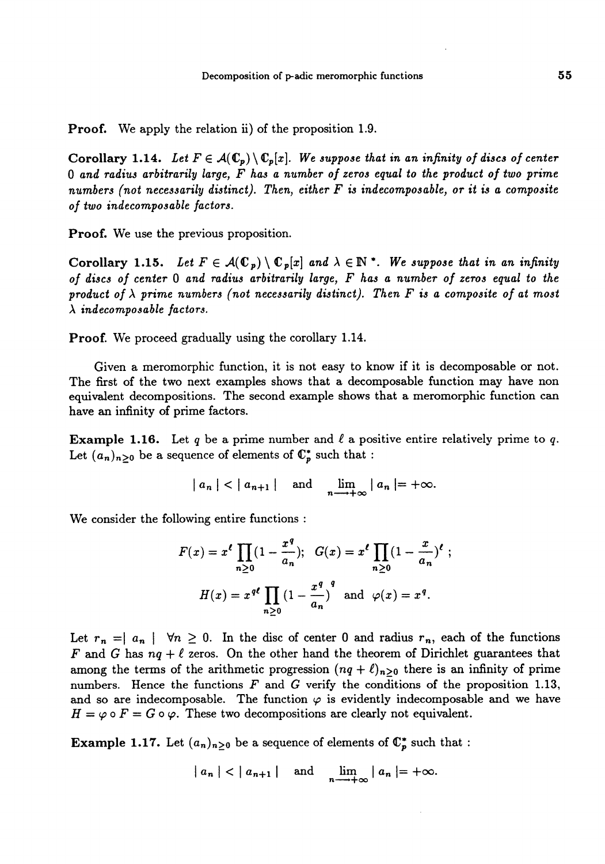Proof. We apply the relation ii) of the proposition 1.9.

Corollary 1.14. Let  $F \in \mathcal{A}(\mathbb{C}_p) \setminus \mathbb{C}_p[x]$ . We suppose that in an infinity of discs of center 0 and radius arbitrarily large, F has a number of zeros equal to the product of two prime numbers (not necessarily distinct). Then, either  $F$  is indecomposable, or it is a composite of two indecomposable factors.

Proof. We use the previous proposition.

Corollary 1.15. Let  $F \in \mathcal{A}(\mathbb{C}_p) \setminus \mathbb{C}_p[x]$  and  $\lambda \in \mathbb{N}^*$ . We suppose that in an infinity of discs of center 0 and radius arbitrarily large, F has a number of zeros equal to the product of  $\lambda$  prime numbers (not necessarily distinct). Then F is a composite of at most  $\lambda$  indecomposable factors.

Proof. We proceed gradually using the corollary 1.14.

Given a meromorphic function, it is not easy to know if it is decomposable or not. The first of the two next examples shows that a decomposable function may have non equivalent decompositions. The second example shows that a meromorphic function can have an infinity of prime factors.

**Example 1.16.** Let q be a prime number and  $\ell$  a positive entire relatively prime to q. Let  $(a_n)_{n\geq 0}$  be a sequence of elements of  $\mathbb{C}_p^*$  such that :

$$
|a_n| < |a_{n+1}| \quad \text{and} \quad \lim_{n \to +\infty} |a_n| = +\infty.
$$

We consider the following entire functions :

$$
F(x) = x^{\ell} \prod_{n \ge 0} (1 - \frac{x^q}{a_n}); \quad G(x) = x^{\ell} \prod_{n \ge 0} (1 - \frac{x}{a_n})^{\ell};
$$

$$
H(x) = x^{q\ell} \prod_{n \ge 0} (1 - \frac{x^q}{a_n})^q \text{ and } \varphi(x) = x^q.
$$

Let  $r_n = |a_n| \quad \forall n \geq 0$ . In the disc of center 0 and radius  $r_n$ , each of the functions F and G has  $nq + \ell$  zeros. On the other hand the theorem of Dirichlet guarantees that among the terms of the arithmetic progression  $(nq + \ell)_{n>0}$  there is an infinity of prime numbers. Hence the functions  $F$  and  $G$  verify the conditions of the proposition 1.13, and so are indecomposable. The function  $\varphi$  is evidently indecomposable and we have  $H = \varphi \circ F = G \circ \varphi$ . These two decompositions are clearly not equivalent.

**Example 1.17.** Let  $(a_n)_{n\geq 0}$  be a sequence of elements of  $\mathbb{C}_p^*$  such that :

$$
|a_n| < |a_{n+1}| \quad \text{and} \quad \lim_{n \to +\infty} |a_n| = +\infty.
$$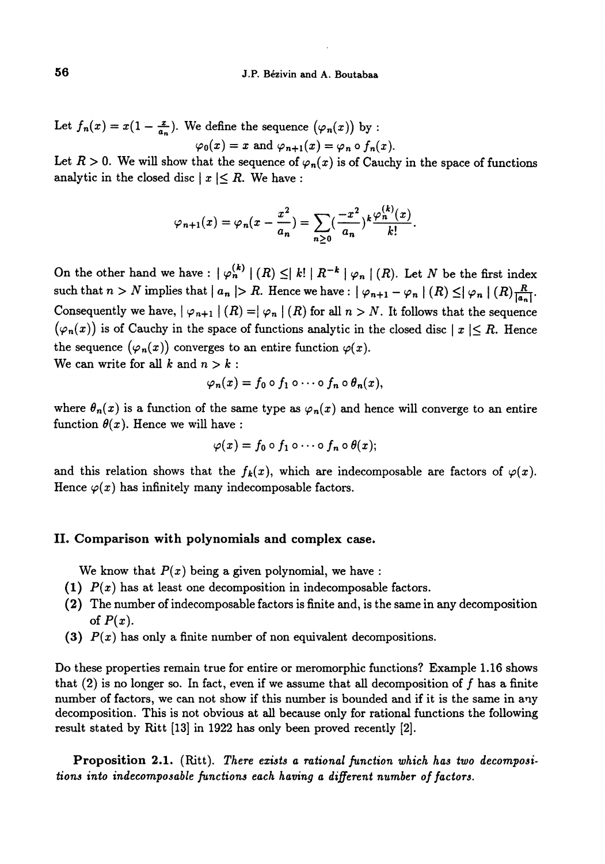Let  $f_n(x) = x(1 - \frac{x}{a_n})$ . We define the sequence  $(\varphi_n(x))$  by :

$$
\varphi_0(x) = x \text{ and } \varphi_{n+1}(x) = \varphi_n \circ f_n(x).
$$

Let  $R > 0$ . We will show that the sequence of  $\varphi_n(x)$  is of Cauchy in the space of functions analytic in the closed disc  $|x| \le R$ . We have :

$$
\varphi_{n+1}(x) = \varphi_n(x - \frac{x^2}{a_n}) = \sum_{n \geq 0} \left(\frac{-x^2}{a_n}\right)^k \frac{\varphi_n^{(k)}(x)}{k!}.
$$

On the other hand we have :  $|\varphi_n^{(k)}|(R) \leq |k| |R^{-k} |\varphi_n|(R)$ . Let N be the first index such that  $n > N$  implies that  $|a_n| > R$ . Hence we have :  $|\varphi_{n+1} - \varphi_n|(R) \leq |\varphi_n|(R) \frac{R}{|a_n|}$ . Consequently we have,  $| \varphi_{n+1} | (R) = | \varphi_n | (R)$  for all  $n > N$ . It follows that the sequence  $(\varphi_n(x))$  is of Cauchy in the space of functions analytic in the closed disc  $|x| \leq R$ . Hence the sequence  $(\varphi_n(x))$  converges to an entire function  $\varphi(x)$ . We can write for all k and  $n > k$ :

$$
\varphi_n(x) = f_0 \circ f_1 \circ \cdots \circ f_n \circ \theta_n(x),
$$

where  $\theta_n(x)$  is a function of the same type as  $\varphi_n(x)$  and hence will converge to an entire function  $\theta(x)$ . Hence we will have :

$$
\varphi(x)=f_0\circ f_1\circ\cdots\circ f_n\circ\theta(x);
$$

and this relation shows that the  $f_k(x)$ , which are indecomposable are factors of  $\varphi(x)$ . Hence  $\varphi(x)$  has infinitely many indecomposable factors.

### II. Comparison with polynomials and complex case.

We know that  $P(x)$  being a given polynomial, we have :

- (1)  $P(x)$  has at least one decomposition in indecomposable factors.
- (2) The number of indecomposable factors is finite and, is the same in any decomposition of  $P(x)$ .
- (3)  $P(x)$  has only a finite number of non equivalent decompositions.

Do these properties remain true for entire or meromorphic functions? Example 1.16 shows that  $(2)$  is no longer so. In fact, even if we assume that all decomposition of f has a finite number of factors, we can not show if this number is bounded and if it is the same in any decomposition. This is not obvious at all because only for rational functions the following result stated by Ritt [13] in 1922 has only been proved recently [2].

Proposition 2.1. (Ritt). There exists a rational function which has two decompositions into indecomposable functions each having a different number of factors.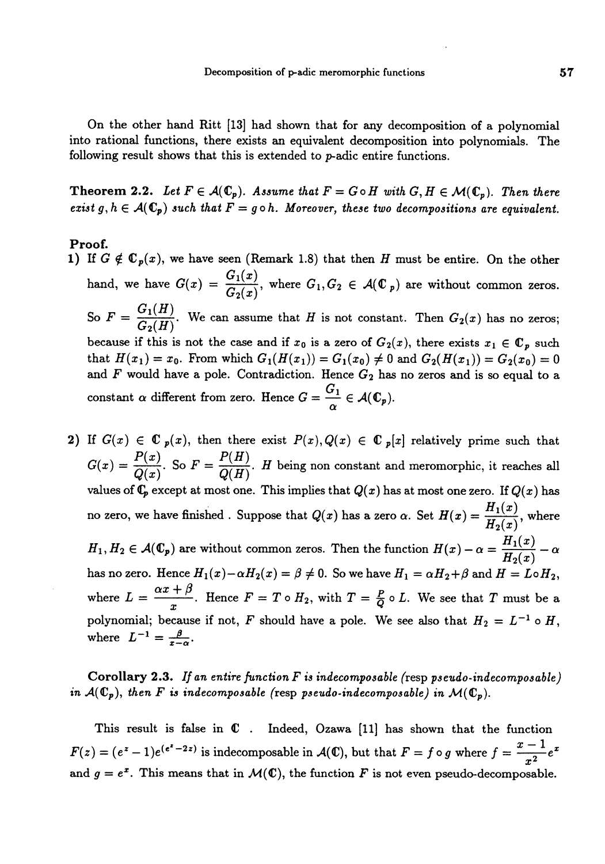On the other hand Ritt [13] had shown that for any decomposition of a polynomial into rational functions, there exists an equivalent decomposition into polynomials. The following result shows that this is extended to p-adic entire functions.

Theorem 2.2. Let  $F \in \mathcal{A}(\mathbb{C}_p)$ . Assume that  $F = G \circ H$  with  $G, H \in \mathcal{M}(\mathbb{C}_p)$ . Then there exist g,  $h \in \mathcal{A}(\mathbb{C}_p)$  such that  $F = g \circ h$ . Moreover, these two decompositions are equivalent.

# Proof.

- 1) If  $G \notin \mathbb{C}_p(x)$ , we have seen (Remark 1.8) that then H must be entire. On the other hand, we have  $G(x) = \frac{G_1(x)}{G_2(x)}$ , where  $G_1, G_2 \in \mathcal{A}(\mathbb{C}_p)$  are without common zeros  $G_1(H)$ . ° So  $F = \frac{G_1(H)}{G_2(H)}$ . We can assume that H is not constant. Then  $G_2(x)$  has no zeros; because if this is not the case and if  $x_0$  is a zero of  $G_2(x)$ , there exists  $x_1 \in \mathbb{C}_p$  such that  $H(x_1) = x_0$ . From which  $G_1(H(x_1)) = G_1(x_0) \neq 0$  and  $G_2(H(x_1)) = G_2(x_0) = 0$ and  $F$  would have a pole. Contradiction. Hence  $G_2$  has no zeros and is so equal to a constant  $\alpha$  different from zero. Hence  $G = \frac{G_1}{\alpha} \in \mathcal{A}(\mathbb{C}_p)$ .
- 2) If  $G(x) \in \mathbb{C}$   $p(x)$ , then there exist  $P(x), Q(x) \in \mathbb{C}$   $p[x]$  relatively prime such that  $G(x) = \frac{P(x)}{Q(x)}$ . So  $F = \frac{P(H)}{Q(H)}$ . H being non constant and meromorphic, it reaches all values of  $\mathbb{C}_p$  except at most one. This implies that  $Q(x)$  has at most one zero. If  $Q(x)$  has no zero, we have finished. Suppose that  $Q(x)$  has a zero  $\alpha$ . Set  $H(x) = \frac{H_1(x)}{H_2(x)}$ , where  $H_1, H_2 \in \mathcal{A}(\mathbb{C}_p)$  are without common zeros. Then the function  $H(x) - \alpha = \frac{H_1(x)}{H_2(x)} - \alpha$ has no zero. Hence  $H_1(x) - \alpha H_2(x) = \beta \neq 0$ . So we have  $H_1 = \alpha H_2 + \beta$  and  $H = L \circ H_2$ , where  $L = \frac{\alpha x + \beta}{x}$ . Hence  $F = T \circ H_2$ , with  $T = \frac{P}{Q} \circ L$ . We see that T must be a polynomial; because if not, F should have a pole. We see also that  $H_2 = L^{-1} \circ H$ , where  $L^{-1} = \frac{\beta}{x-\alpha}$ .

**Corollary 2.3.** If an entire function  $F$  is indecomposable (resp pseudo-indecomposable) in  $\mathcal{A}(\mathbb{C}_p)$ , then F is indecomposable (resp pseudo-indecomposable) in  $\mathcal{M}(\mathbb{C}_p)$ .

This result is false in  $C$ . Indeed, Ozawa [11] has shown that the function  $F(z) = (e^z - 1)e^{(e^z - 2z)}$  is indecomposable in  $\mathcal{A}(\mathbb{C})$ , but that  $F = f \circ g$  where  $f = \frac{x-1}{r^2}e^x$ and  $g = e^x$ . This means that in  $\mathcal{M}(\mathbb{C})$ , the function F is not even pseudo-decomposable.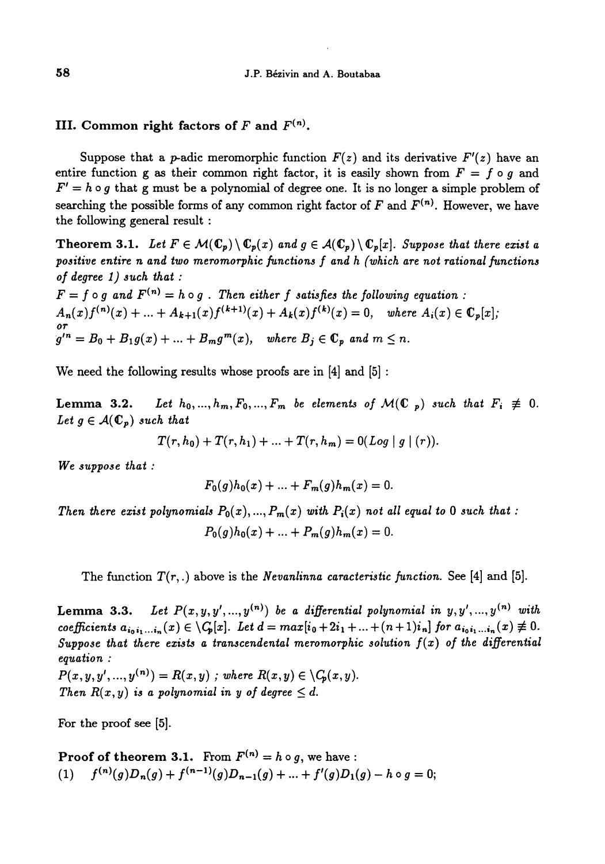# III. Common right factors of F and  $F^{(n)}$ .

Suppose that a *p*-adic meromorphic function  $F(z)$  and its derivative  $F'(z)$  have an entire function g as their common right factor, it is easily shown from  $F = f \circ g$  and  $F' = h \circ g$  that g must be a polynomial of degree one. It is no longer a simple problem of searching the possible forms of any common right factor of F and  $F^{(n)}$ . However, we have the following general result :

**Theorem 3.1.** Let  $F \in \mathcal{M}(\mathbb{C}_p) \setminus \mathbb{C}_p(x)$  and  $g \in \mathcal{A}(\mathbb{C}_p) \setminus \mathbb{C}_p[x]$ . Suppose that there exist a positive entire n and two meromorphic functions f and h (which are not rational functions of degree  $1)$  such that :

 $F = f \circ g$  and  $F^{(n)} = h \circ g$ . Then either f satisfies the following equation:  $A_n(x)f^{(n)}(x) + \ldots + A_{k+1}(x)f^{(k+1)}(x) + A_k(x)f^{(k)}(x) = 0$ , where  $A_i(x) \in \mathbb{C}_p[x]$ ;  $\sigma r$ <br> $g'^n = B_0 + B_1 g(x) + ... + B_m g^m(x)$ , where  $B_j \in \mathbb{C}_p$  and  $m \leq n$ .

We need the following results whose proofs are in  $[4]$  and  $[5]$ :

**Lemma 3.2.** Let  $h_0, ..., h_m, F_0, ..., F_m$  be elements of  $\mathcal{M}(\mathbb{C}_p)$  such that  $F_i \neq 0$ . Let  $g \in \mathcal{A}(\mathbb{C}_p)$  such that

$$
T(r, h_0) + T(r, h_1) + ... + T(r, h_m) = 0
$$
 (Log | g | (r)).

We suppose that :

$$
F_0(g)h_0(x) + \ldots + F_m(g)h_m(x) = 0.
$$

Then there exist polynomials  $P_0(x),...,P_m(x)$  with  $P_i(x)$  not all equal to 0 such that :  $P_0(q)h_0(x) + ... + P_m(q)h_m(x) = 0.$ 

The function  $T(r,.)$  above is the Nevanlinna caracteristic function. See [4] and [5].

Lemma 3.3. Let  $P(x,y,y',...,y^{(n)})$  be a differential polynomial in  $y,y',...,y^{(n)}$  with coefficients  $a_{i_0 i_1 ... i_n}(x) \in \setminus C_p[x]$ . Let  $d = max[i_0 + 2i_1 + ... + (n+1)i_n]$  for  $a_{i_0 i_1 ... i_n}(x) \neq 0$ . Suppose that there exists a transcendental meromorphic solution  $f(x)$  of the differential equation :

 $P(x, y, y', ..., y^{(n)}) = R(x, y)$ ; where  $R(x, y) \in \setminus C_p(x, y)$ . Then  $R(x, y)$  is a polynomial in y of degree  $\leq d$ .

For the proof see [5].

**Proof of theorem 3.1.** From  $F^{(n)} = h \circ q$ , we have : (1)  $f^{(n)}(g)D_n(g) + f^{(n-1)}(g)D_{n-1}(g) + ... + f'(g)D_1(g) - h \circ g = 0;$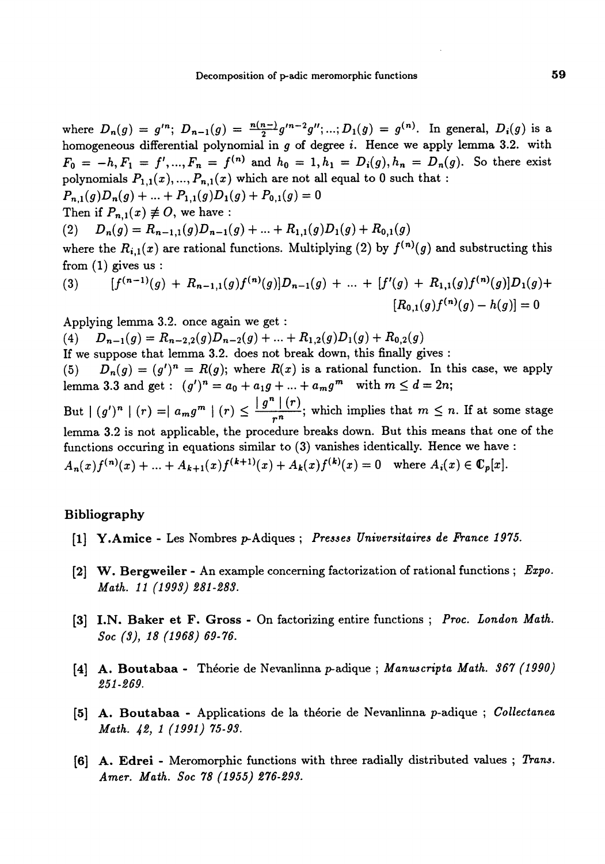where  $D_n(g) = g'^n$ ;  $D_{n-1}(g) = \frac{n(n-1)}{2} g'^{n-2} g''$ ; ...;  $D_1(g) = g^{(n)}$ . In general,  $D_i(g)$  is a homogeneous differential polynomial in  $g$  of degree  $i$ . Hence we apply lemma 3.2. with  $F_0 = -h, F_1 = f', ..., F_n = f^{(n)}$  and  $h_0 = 1, h_1 = D_i(g), h_n = D_n(g)$ . So there exist polynomials  $P_{1,1}(x),..., P_{n,1}(x)$  which are not all equal to 0 such that :  $P_{n,1}(g)D_n(g) + ... + P_{1,1}(g)D_1(g) + P_{0,1}(g) = 0$ Then if  $P_{n,1}(x) \not\equiv O$ , we have : (2)  $D_n(g) = R_{n-1,1}(g)D_{n-1}(g) + ... + R_{1,1}(g)D_1(g) + R_{0,1}(g)$ 

where the  $R_{i,1}(x)$  are rational functions. Multiplying (2) by  $f^{(n)}(g)$  and substructing this from  $(1)$  gives us :

(3) 
$$
[f^{(n-1)}(g) + R_{n-1,1}(g)f^{(n)}(g)]D_{n-1}(g) + ... + [f'(g) + R_{1,1}(g)f^{(n)}(g)]D_1(g) +
$$

$$
[R_{0,1}(g)f^{(n)}(g) - h(g)] = 0
$$

Applying lemma 3.2. once again we get :

(4)  $D_{n-1}(g) = R_{n-2,2}(g)D_{n-2}(g) + ... + R_{1,2}(g)D_1(g) + R_{0,2}(g)$ 

If we suppose that lemma 3.2. does not break down, this finally gives :

(5)  $D_n(g) = (g')^n = R(g)$ ; where  $R(x)$  is a rational function. In this case, we apply lemma 3.3 and get :  $(g')^n = a_0 + a_1g + ... + a_mg^m$  with  $m \leq d = 2n$ ;

But  $|(g')^n|(r) = |a_m g^m|(r) \leq \frac{|g^n|(r)}{r^n}$ ; which implies that  $m \leq n$ . If at some stage lemma 3.2 is not applicable, the procedure breaks down. But this means that one of the functions occuring in equations similar to (3) vanishes identically. Hence we have :  $A_n(x)f^{(n)}(x) + ... + A_{k+1}(x)f^{(k+1)}(x) + A_k(x)f^{(k)}(x) = 0$  where  $A_i(x) \in \mathbb{C}_p[x]$ .

# Bibliography

- [1] Y.Amice Les Nombres p-Adiques ; Presses Universitaires de France 1975.
- [2] W. Bergweiler An example concerning factorization of rational functions ; Expo. Math. 11 (1993) 281-283.
- [3] I.N. Baker et F. Gross On factorizing entire functions ; Proc. London Math. Soc (3), 18 (1968) 69-76.
- [4] A. Boutabaa Théorie de Nevanlinna p-adique ; Manuscripta Math. 367 (1990) 251-269.
- [5] A. Boutabaa Applications de la théorie de Nevanlinna p-adique ; Collectanea Math. 42, 1 (1991) 75-93.
- [6] A. Edrei Meromorphic functions with three radially distributed values ; Trans. Amer. Math. Soc 78 (1955) 276-293.